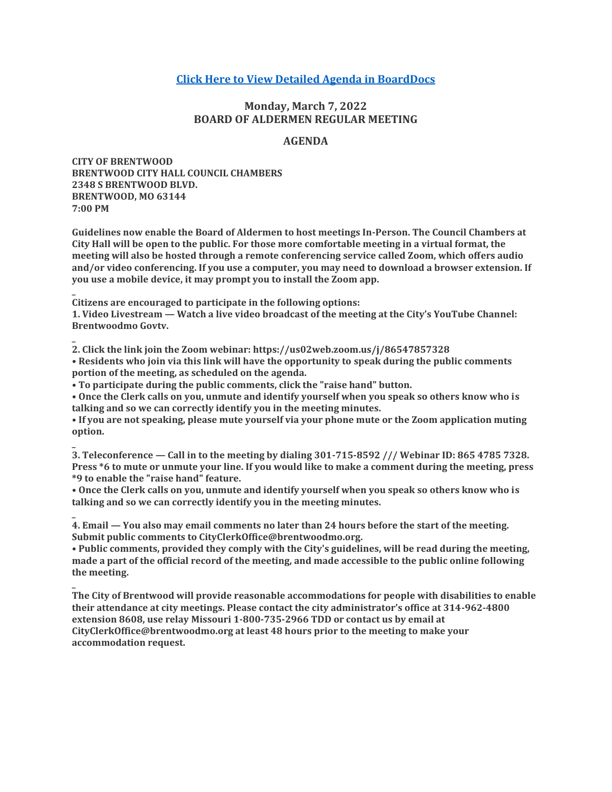# **[Click Here to View Detailed Agenda in BoardDocs](http://go.boarddocs.com/mo/cob/Board.nsf/goto?open&id=CALSNV738E37)**

# **Monday, March 7, 2022 BOARD OF ALDERMEN REGULAR MEETING**

## **AGENDA**

**CITY OF BRENTWOOD BRENTWOOD CITY HALL COUNCIL CHAMBERS 2348 S BRENTWOOD BLVD. BRENTWOOD, MO 63144 7:00 PM**

**\_**

**\_**

**\_**

**Guidelines now enable the Board of Aldermen to host meetings In-Person. The Council Chambers at City Hall will be open to the public. For those more comfortable meeting in a virtual format, the meeting will also be hosted through a remote conferencing service called Zoom, which offers audio and/or video conferencing. If you use a computer, you may need to download a browser extension. If you use a mobile device, it may prompt you to install the Zoom app.**

**Citizens are encouraged to participate in the following options:**

**1. Video Livestream — Watch a live video broadcast of the meeting at the City's YouTube Channel: Brentwoodmo Govtv.**

**2. Click the link join the Zoom webinar: https://us02web.zoom.us/j/86547857328 • Residents who join via this link will have the opportunity to speak during the public comments portion of the meeting, as scheduled on the agenda.**

**• To participate during the public comments, click the "raise hand" button.**

**• Once the Clerk calls on you, unmute and identify yourself when you speak so others know who is talking and so we can correctly identify you in the meeting minutes.**

**• If you are not speaking, please mute yourself via your phone mute or the Zoom application muting option.**

**\_ 3. Teleconference — Call in to the meeting by dialing 301-715-8592 /// Webinar ID: 865 4785 7328. Press \*6 to mute or unmute your line. If you would like to make a comment during the meeting, press \*9 to enable the "raise hand" feature.**

**• Once the Clerk calls on you, unmute and identify yourself when you speak so others know who is talking and so we can correctly identify you in the meeting minutes.**

**\_ 4. Email — You also may email comments no later than 24 hours before the start of the meeting. Submit public comments to CityClerkOffice@brentwoodmo.org.**

**• Public comments, provided they comply with the City's guidelines, will be read during the meeting, made a part of the official record of the meeting, and made accessible to the public online following the meeting.**

**The City of Brentwood will provide reasonable accommodations for people with disabilities to enable their attendance at city meetings. Please contact the city administrator's office at 314-962-4800 extension 8608, use relay Missouri 1-800-735-2966 TDD or contact us by email at CityClerkOffice@brentwoodmo.org at least 48 hours prior to the meeting to make your accommodation request.**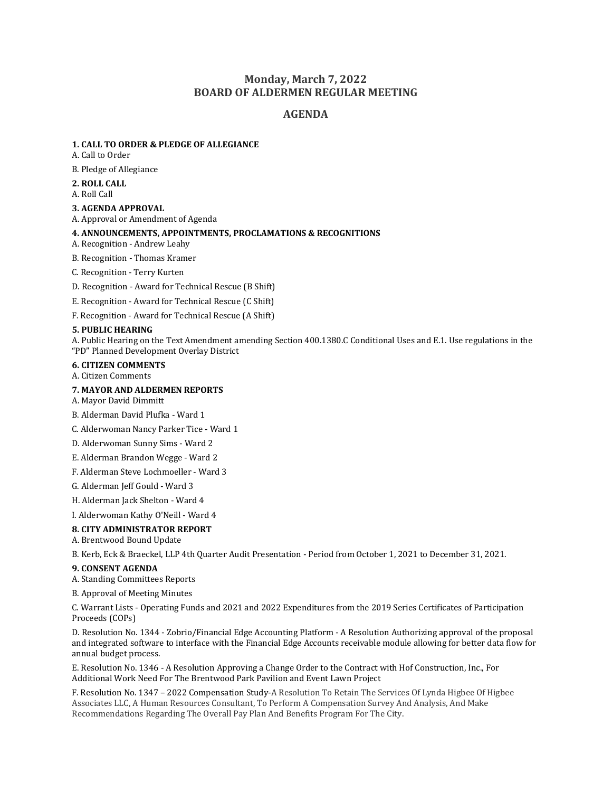# **Monday, March 7, 2022 BOARD OF ALDERMEN REGULAR MEETING**

## **AGENDA**

#### **1. CALL TO ORDER & PLEDGE OF ALLEGIANCE**

A. Call to Order

B. Pledge of Allegiance

#### **2. ROLL CALL**

A. Roll Call

#### **3. AGENDA APPROVAL**

A. Approval or Amendment of Agenda

## **4. ANNOUNCEMENTS, APPOINTMENTS, PROCLAMATIONS & RECOGNITIONS**

A. Recognition - Andrew Leahy

B. Recognition - Thomas Kramer

C. Recognition - Terry Kurten

D. Recognition - Award for Technical Rescue (B Shift)

E. Recognition - Award for Technical Rescue (C Shift)

F. Recognition - Award for Technical Rescue (A Shift)

#### **5. PUBLIC HEARING**

A. Public Hearing on the Text Amendment amending Section 400.1380.C Conditional Uses and E.1. Use regulations in the "PD" Planned Development Overlay District

#### **6. CITIZEN COMMENTS**

A. Citizen Comments

#### **7. MAYOR AND ALDERMEN REPORTS**

A. Mayor David Dimmitt

B. Alderman David Plufka - Ward 1

C. Alderwoman Nancy Parker Tice - Ward 1

- D. Alderwoman Sunny Sims Ward 2
- E. Alderman Brandon Wegge Ward 2

F. Alderman Steve Lochmoeller - Ward 3

G. Alderman Jeff Gould - Ward 3

H. Alderman Jack Shelton - Ward 4

I. Alderwoman Kathy O'Neill - Ward 4

#### **8. CITY ADMINISTRATOR REPORT**

A. Brentwood Bound Update

B. Kerb, Eck & Braeckel, LLP 4th Quarter Audit Presentation - Period from October 1, 2021 to December 31, 2021.

#### **9. CONSENT AGENDA**

A. Standing Committees Reports

B. Approval of Meeting Minutes

C. Warrant Lists - Operating Funds and 2021 and 2022 Expenditures from the 2019 Series Certificates of Participation Proceeds (COPs)

D. Resolution No. 1344 - Zobrio/Financial Edge Accounting Platform - A Resolution Authorizing approval of the proposal and integrated software to interface with the Financial Edge Accounts receivable module allowing for better data flow for annual budget process.

E. Resolution No. 1346 - A Resolution Approving a Change Order to the Contract with Hof Construction, Inc., For Additional Work Need For The Brentwood Park Pavilion and Event Lawn Project

F. Resolution No. 1347 – 2022 Compensation Study-A Resolution To Retain The Services Of Lynda Higbee Of Higbee Associates LLC, A Human Resources Consultant, To Perform A Compensation Survey And Analysis, And Make Recommendations Regarding The Overall Pay Plan And Benefits Program For The City.